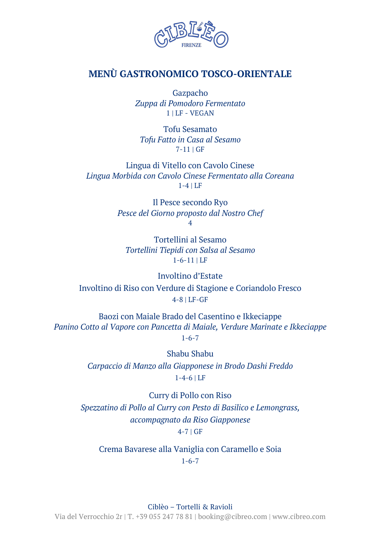

## **MENÙ GASTRONOMICO TOSCO-ORIENTALE**

Gazpacho *Zuppa di Pomodoro Fermentato* 1 | LF - VEGAN

Tofu Sesamato *Tofu Fatto in Casa al Sesamo* 7-11 | GF

Lingua di Vitello con Cavolo Cinese *Lingua Morbida con Cavolo Cinese Fermentato alla Coreana* 1-4 | LF

> Il Pesce secondo Ryo *Pesce del Giorno proposto dal Nostro Chef*  4

Tortellini al Sesamo *Tortellini Tiepidi con Salsa al Sesamo* 1-6-11 | LF

Involtino d'Estate Involtino di Riso con Verdure di Stagione e Coriandolo Fresco 4-8 | LF-GF

Baozi con Maiale Brado del Casentino e Ikkeciappe *Panino Cotto al Vapore con Pancetta di Maiale, Verdure Marinate e Ikkeciappe* 1-6-7

> Shabu Shabu *Carpaccio di Manzo alla Giapponese in Brodo Dashi Freddo* 1-4-6 | LF

Curry di Pollo con Riso *Spezzatino di Pollo al Curry con Pesto di Basilico e Lemongrass, accompagnato da Riso Giapponese* 4-7 | GF

Crema Bavarese alla Vaniglia con Caramello e Soia 1-6-7